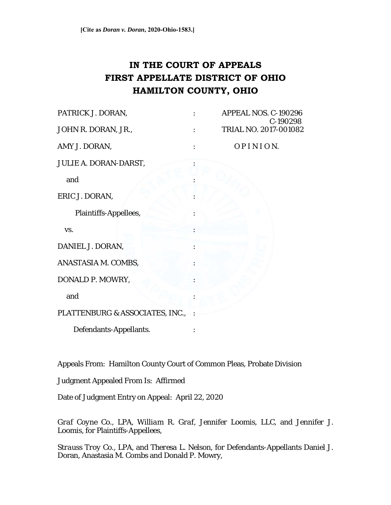# **IN THE COURT OF APPEALS FIRST APPELLATE DISTRICT OF OHIO HAMILTON COUNTY, OHIO**

| PATRICK J. DORAN,               | APPEAL NOS. C-190296<br>C-190298 |
|---------------------------------|----------------------------------|
| JOHN R. DORAN, JR.,             | TRIAL NO. 2017-001082            |
| AMY J. DORAN,                   | OPINION.                         |
| JULIE A. DORAN-DARST,           |                                  |
| and                             |                                  |
| ERIC J. DORAN,                  |                                  |
| Plaintiffs-Appellees,           |                                  |
| VS.                             |                                  |
| DANIEL J. DORAN,                |                                  |
| ANASTASIA M. COMBS,             |                                  |
| DONALD P. MOWRY,                |                                  |
| and                             |                                  |
| PLATTENBURG & ASSOCIATES, INC., |                                  |
| Defendants-Appellants.          |                                  |

Appeals From: Hamilton County Court of Common Pleas, Probate Division

Judgment Appealed From Is: Affirmed

Date of Judgment Entry on Appeal: April 22, 2020

*Graf Coyne Co., LPA*, *William R. Graf*, *Jennifer Loomis, LLC*, and *Jennifer J. Loomis,* for Plaintiffs-Appellees,

*Strauss Troy Co., LPA*, and *Theresa L. Nelson*, for Defendants-Appellants Daniel J. Doran, Anastasia M. Combs and Donald P. Mowry,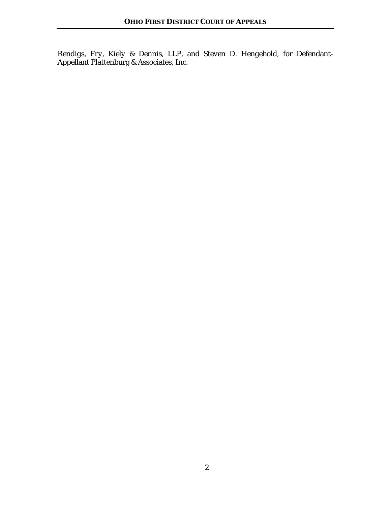*Rendigs, Fry, Kiely & Dennis, LLP*, and *Steven D. Hengehold*, for Defendant-Appellant Plattenburg & Associates, Inc.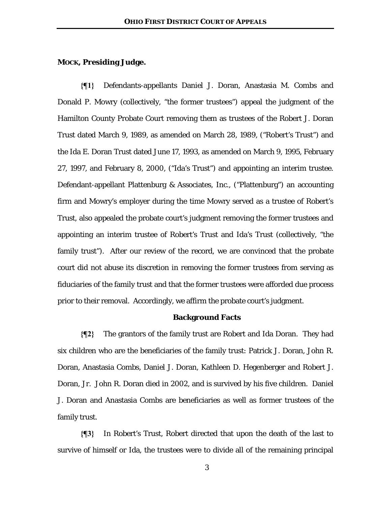### **MOCK, Presiding Judge.**

**{¶1}** Defendants-appellants Daniel J. Doran, Anastasia M. Combs and Donald P. Mowry (collectively, "the former trustees") appeal the judgment of the Hamilton County Probate Court removing them as trustees of the Robert J. Doran Trust dated March 9, 1989, as amended on March 28, 1989, ("Robert's Trust") and the Ida E. Doran Trust dated June 17, 1993, as amended on March 9, 1995, February 27, 1997, and February 8, 2000, ("Ida's Trust") and appointing an interim trustee. Defendant-appellant Plattenburg & Associates, Inc., ("Plattenburg") an accounting firm and Mowry's employer during the time Mowry served as a trustee of Robert's Trust, also appealed the probate court's judgment removing the former trustees and appointing an interim trustee of Robert's Trust and Ida's Trust (collectively, "the family trust"). After our review of the record, we are convinced that the probate court did not abuse its discretion in removing the former trustees from serving as fiduciaries of the family trust and that the former trustees were afforded due process prior to their removal. Accordingly, we affirm the probate court's judgment.

#### **Background Facts**

**{¶2}** The grantors of the family trust are Robert and Ida Doran. They had six children who are the beneficiaries of the family trust: Patrick J. Doran, John R. Doran, Anastasia Combs, Daniel J. Doran, Kathleen D. Hegenberger and Robert J. Doran, Jr. John R. Doran died in 2002, and is survived by his five children. Daniel J. Doran and Anastasia Combs are beneficiaries as well as former trustees of the family trust.

**{¶3}** In Robert's Trust, Robert directed that upon the death of the last to survive of himself or Ida, the trustees were to divide all of the remaining principal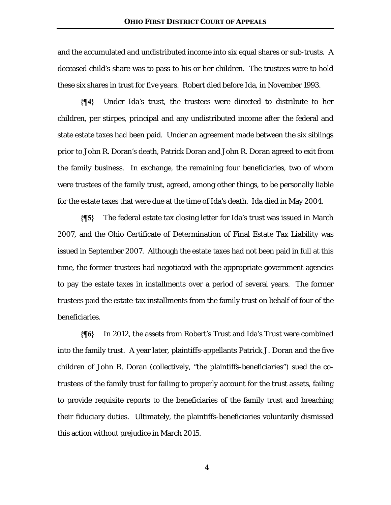and the accumulated and undistributed income into six equal shares or sub-trusts. A deceased child's share was to pass to his or her children. The trustees were to hold these six shares in trust for five years. Robert died before Ida, in November 1993.

**{¶4}** Under Ida's trust, the trustees were directed to distribute to her children, per stirpes, principal and any undistributed income after the federal and state estate taxes had been paid. Under an agreement made between the six siblings prior to John R. Doran's death, Patrick Doran and John R. Doran agreed to exit from the family business. In exchange, the remaining four beneficiaries, two of whom were trustees of the family trust, agreed, among other things, to be personally liable for the estate taxes that were due at the time of Ida's death. Ida died in May 2004.

**{¶5}** The federal estate tax closing letter for Ida's trust was issued in March 2007, and the Ohio Certificate of Determination of Final Estate Tax Liability was issued in September 2007. Although the estate taxes had not been paid in full at this time, the former trustees had negotiated with the appropriate government agencies to pay the estate taxes in installments over a period of several years. The former trustees paid the estate-tax installments from the family trust on behalf of four of the beneficiaries.

**{¶6}** In 2012, the assets from Robert's Trust and Ida's Trust were combined into the family trust. A year later, plaintiffs-appellants Patrick J. Doran and the five children of John R. Doran (collectively, "the plaintiffs-beneficiaries") sued the cotrustees of the family trust for failing to properly account for the trust assets, failing to provide requisite reports to the beneficiaries of the family trust and breaching their fiduciary duties. Ultimately, the plaintiffs-beneficiaries voluntarily dismissed this action without prejudice in March 2015.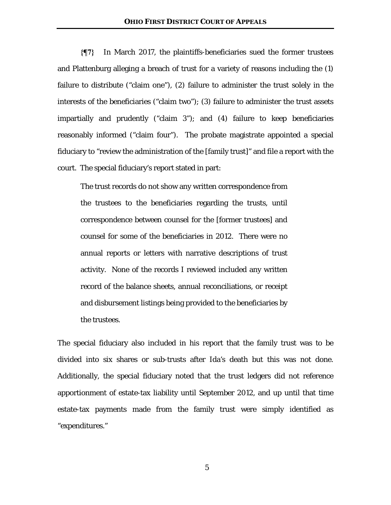**{¶7}** In March 2017, the plaintiffs-beneficiaries sued the former trustees and Plattenburg alleging a breach of trust for a variety of reasons including the (1) failure to distribute ("claim one"), (2) failure to administer the trust solely in the interests of the beneficiaries ("claim two"); (3) failure to administer the trust assets impartially and prudently ("claim 3"); and (4) failure to keep beneficiaries reasonably informed ("claim four"). The probate magistrate appointed a special fiduciary to "review the administration of the [family trust]" and file a report with the court. The special fiduciary's report stated in part:

The trust records do not show any written correspondence from the trustees to the beneficiaries regarding the trusts, until correspondence between counsel for the [former trustees] and counsel for some of the beneficiaries in 2012. There were no annual reports or letters with narrative descriptions of trust activity. None of the records I reviewed included any written record of the balance sheets, annual reconciliations, or receipt and disbursement listings being provided to the beneficiaries by the trustees.

The special fiduciary also included in his report that the family trust was to be divided into six shares or sub-trusts after Ida's death but this was not done. Additionally, the special fiduciary noted that the trust ledgers did not reference apportionment of estate-tax liability until September 2012, and up until that time estate-tax payments made from the family trust were simply identified as "expenditures."

5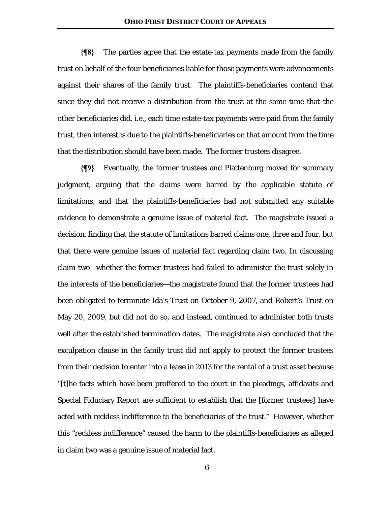**{¶8}** The parties agree that the estate-tax payments made from the family trust on behalf of the four beneficiaries liable for those payments were advancements against their shares of the family trust. The plaintiffs-beneficiaries contend that since they did not receive a distribution from the trust at the same time that the other beneficiaries did, i.e., each time estate-tax payments were paid from the family trust, then interest is due to the plaintiffs-beneficiaries on that amount from the time that the distribution should have been made. The former trustees disagree.

**{¶9}** Eventually, the former trustees and Plattenburg moved for summary judgment, arguing that the claims were barred by the applicable statute of limitations, and that the plaintiffs-beneficiaries had not submitted any suitable evidence to demonstrate a genuine issue of material fact. The magistrate issued a decision, finding that the statute of limitations barred claims one, three and four, but that there were genuine issues of material fact regarding claim two. In discussing claim two—whether the former trustees had failed to administer the trust solely in the interests of the beneficiaries—the magistrate found that the former trustees had been obligated to terminate Ida's Trust on October 9, 2007, and Robert's Trust on May 20, 2009, but did not do so, and instead, continued to administer both trusts well after the established termination dates. The magistrate also concluded that the exculpation clause in the family trust did not apply to protect the former trustees from their decision to enter into a lease in 2013 for the rental of a trust asset because "[t]he facts which have been proffered to the court in the pleadings, affidavits and Special Fiduciary Report are sufficient to establish that the [former trustees] have acted with reckless indifference to the beneficiaries of the trust." However, whether this "reckless indifference" caused the harm to the plaintiffs-beneficiaries as alleged in claim two was a genuine issue of material fact.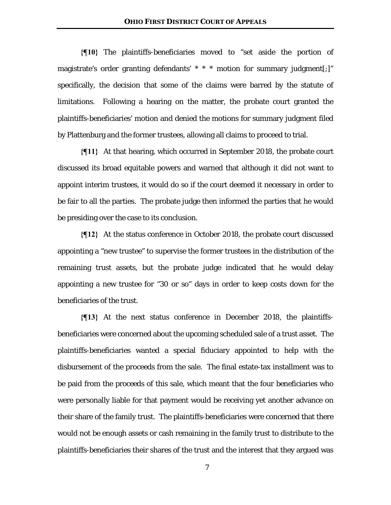**{¶10}** The plaintiffs-beneficiaries moved to "set aside the portion of magistrate's order granting defendants' \* \* \* motion for summary judgment[;]" specifically, the decision that some of the claims were barred by the statute of limitations. Following a hearing on the matter, the probate court granted the plaintiffs-beneficiaries' motion and denied the motions for summary judgment filed by Plattenburg and the former trustees, allowing all claims to proceed to trial.

**{¶11}** At that hearing, which occurred in September 2018, the probate court discussed its broad equitable powers and warned that although it did not want to appoint interim trustees, it would do so if the court deemed it necessary in order to be fair to all the parties. The probate judge then informed the parties that he would be presiding over the case to its conclusion.

**{¶12}** At the status conference in October 2018, the probate court discussed appointing a "new trustee" to supervise the former trustees in the distribution of the remaining trust assets, but the probate judge indicated that he would delay appointing a new trustee for "30 or so" days in order to keep costs down for the beneficiaries of the trust.

**{¶13}** At the next status conference in December 2018, the plaintiffsbeneficiaries were concerned about the upcoming scheduled sale of a trust asset. The plaintiffs-beneficiaries wanted a special fiduciary appointed to help with the disbursement of the proceeds from the sale. The final estate-tax installment was to be paid from the proceeds of this sale, which meant that the four beneficiaries who were personally liable for that payment would be receiving yet another advance on their share of the family trust. The plaintiffs-beneficiaries were concerned that there would not be enough assets or cash remaining in the family trust to distribute to the plaintiffs-beneficiaries their shares of the trust and the interest that they argued was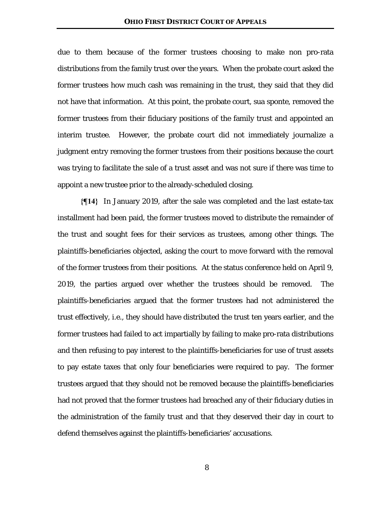due to them because of the former trustees choosing to make non pro-rata distributions from the family trust over the years. When the probate court asked the former trustees how much cash was remaining in the trust, they said that they did not have that information. At this point, the probate court, sua sponte, removed the former trustees from their fiduciary positions of the family trust and appointed an interim trustee. However, the probate court did not immediately journalize a judgment entry removing the former trustees from their positions because the court was trying to facilitate the sale of a trust asset and was not sure if there was time to appoint a new trustee prior to the already-scheduled closing.

**{¶14}** In January 2019, after the sale was completed and the last estate-tax installment had been paid, the former trustees moved to distribute the remainder of the trust and sought fees for their services as trustees, among other things. The plaintiffs-beneficiaries objected, asking the court to move forward with the removal of the former trustees from their positions. At the status conference held on April 9, 2019, the parties argued over whether the trustees should be removed. The plaintiffs-beneficiaries argued that the former trustees had not administered the trust effectively, i.e., they should have distributed the trust ten years earlier, and the former trustees had failed to act impartially by failing to make pro-rata distributions and then refusing to pay interest to the plaintiffs-beneficiaries for use of trust assets to pay estate taxes that only four beneficiaries were required to pay. The former trustees argued that they should not be removed because the plaintiffs-beneficiaries had not proved that the former trustees had breached any of their fiduciary duties in the administration of the family trust and that they deserved their day in court to defend themselves against the plaintiffs-beneficiaries' accusations.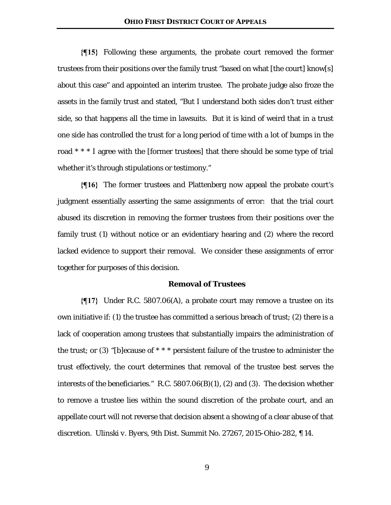**{¶15}** Following these arguments, the probate court removed the former trustees from their positions over the family trust "based on what [the court] know[s] about this case" and appointed an interim trustee. The probate judge also froze the assets in the family trust and stated, "But I understand both sides don't trust either side, so that happens all the time in lawsuits. But it is kind of weird that in a trust one side has controlled the trust for a long period of time with a lot of bumps in the road \* \* \* I agree with the [former trustees] that there should be some type of trial whether it's through stipulations or testimony."

**{¶16}** The former trustees and Plattenberg now appeal the probate court's judgment essentially asserting the same assignments of error: that the trial court abused its discretion in removing the former trustees from their positions over the family trust (1) without notice or an evidentiary hearing and (2) where the record lacked evidence to support their removal. We consider these assignments of error together for purposes of this decision.

### **Removal of Trustees**

**{¶17}** Under R.C. 5807.06(A), a probate court may remove a trustee on its own initiative if: (1) the trustee has committed a serious breach of trust; (2) there is a lack of cooperation among trustees that substantially impairs the administration of the trust; or  $(3)$  "[b]ecause of \* \* \* persistent failure of the trustee to administer the trust effectively, the court determines that removal of the trustee best serves the interests of the beneficiaries." R.C. 5807.06(B)(1), (2) and (3). The decision whether to remove a trustee lies within the sound discretion of the probate court, and an appellate court will not reverse that decision absent a showing of a clear abuse of that discretion. *Ulinski v. Byers*, 9th Dist. Summit No. 27267, 2015-Ohio-282, ¶ 14.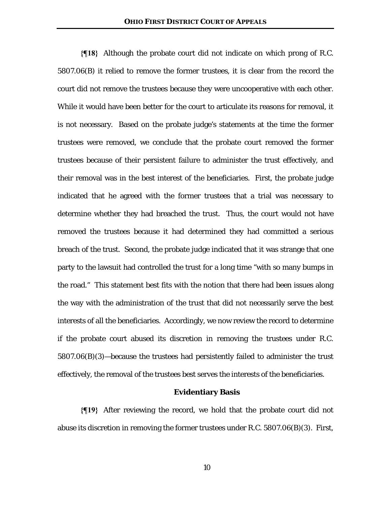**{¶18}** Although the probate court did not indicate on which prong of R.C. 5807.06(B) it relied to remove the former trustees, it is clear from the record the court did not remove the trustees because they were uncooperative with each other. While it would have been better for the court to articulate its reasons for removal, it is not necessary. Based on the probate judge's statements at the time the former trustees were removed, we conclude that the probate court removed the former trustees because of their persistent failure to administer the trust effectively, and their removal was in the best interest of the beneficiaries. First, the probate judge indicated that he agreed with the former trustees that a trial was necessary to determine whether they had breached the trust. Thus, the court would not have removed the trustees because it had determined they had committed a serious breach of the trust. Second, the probate judge indicated that it was strange that one party to the lawsuit had controlled the trust for a long time "with so many bumps in the road." This statement best fits with the notion that there had been issues along the way with the administration of the trust that did not necessarily serve the best interests of all the beneficiaries. Accordingly, we now review the record to determine if the probate court abused its discretion in removing the trustees under R.C. 5807.06(B)(3)—because the trustees had persistently failed to administer the trust effectively, the removal of the trustees best serves the interests of the beneficiaries.

## **Evidentiary Basis**

**{¶19}** After reviewing the record, we hold that the probate court did not abuse its discretion in removing the former trustees under R.C. 5807.06(B)(3). First,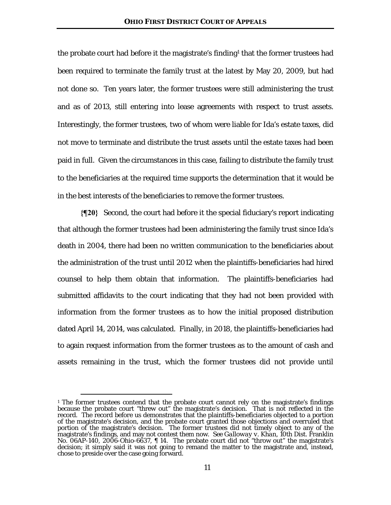the probate court had before it the magistrate's finding<sup>1</sup> that the former trustees had been required to terminate the family trust at the latest by May 20, 2009, but had not done so. Ten years later, the former trustees were still administering the trust and as of 2013, still entering into lease agreements with respect to trust assets. Interestingly, the former trustees, two of whom were liable for Ida's estate taxes, did not move to terminate and distribute the trust assets until the estate taxes had been paid in full. Given the circumstances in this case, failing to distribute the family trust to the beneficiaries at the required time supports the determination that it would be in the best interests of the beneficiaries to remove the former trustees.

**{¶20}** Second, the court had before it the special fiduciary's report indicating that although the former trustees had been administering the family trust since Ida's death in 2004, there had been no written communication to the beneficiaries about the administration of the trust until 2012 when the plaintiffs-beneficiaries had hired counsel to help them obtain that information. The plaintiffs-beneficiaries had submitted affidavits to the court indicating that they had not been provided with information from the former trustees as to how the initial proposed distribution dated April 14, 2014, was calculated. Finally, in 2018, the plaintiffs-beneficiaries had to again request information from the former trustees as to the amount of cash and assets remaining in the trust, which the former trustees did not provide until

<sup>&</sup>lt;sup>1</sup> The former trustees contend that the probate court cannot rely on the magistrate's findings because the probate court "threw out" the magistrate's decision. That is not reflected in the record. The record before us demonstrates that the plaintiffs-beneficiaries objected to a portion of the magistrate's decision, and the probate court granted those objections and overruled that portion of the magistrate's decision. The former trustees did not timely object to any of the magistrate's findings, and may not contest them now. *See Galloway v. Khan*, 10th Dist. Franklin No. 06AP-140, 2006-Ohio-6637, ¶ 14. The probate court did not "throw out" the magistrate's decision; it simply said it was not going to remand the matter to the magistrate and, instead, chose to preside over the case going forward.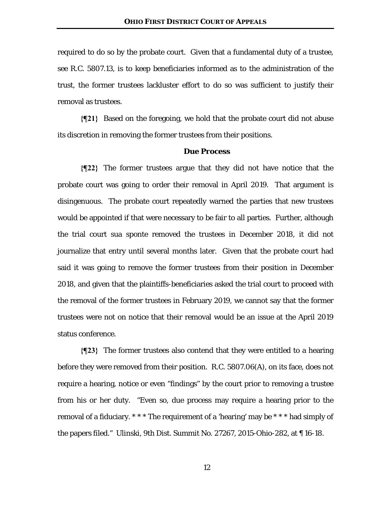required to do so by the probate court. Given that a fundamental duty of a trustee, *see* R.C. 5807.13, is to keep beneficiaries informed as to the administration of the trust, the former trustees lackluster effort to do so was sufficient to justify their removal as trustees.

**{¶21}** Based on the foregoing, we hold that the probate court did not abuse its discretion in removing the former trustees from their positions.

#### **Due Process**

**{¶22}** The former trustees argue that they did not have notice that the probate court was going to order their removal in April 2019. That argument is disingenuous. The probate court repeatedly warned the parties that new trustees would be appointed if that were necessary to be fair to all parties. Further, although the trial court sua sponte removed the trustees in December 2018, it did not journalize that entry until several months later. Given that the probate court had said it was going to remove the former trustees from their position in December 2018, and given that the plaintiffs-beneficiaries asked the trial court to proceed with the removal of the former trustees in February 2019, we cannot say that the former trustees were not on notice that their removal would be an issue at the April 2019 status conference.

**{¶23}** The former trustees also contend that they were entitled to a hearing before they were removed from their position. R.C. 5807.06(A), on its face, does not require a hearing, notice or even "findings" by the court prior to removing a trustee from his or her duty. "Even so, due process may require a hearing prior to the removal of a fiduciary. \* \* \* The requirement of a 'hearing' may be \* \* \* had simply of the papers filed." *Ulinski*, 9th Dist. Summit No. 27267, 2015-Ohio-282, at ¶ 16-18.